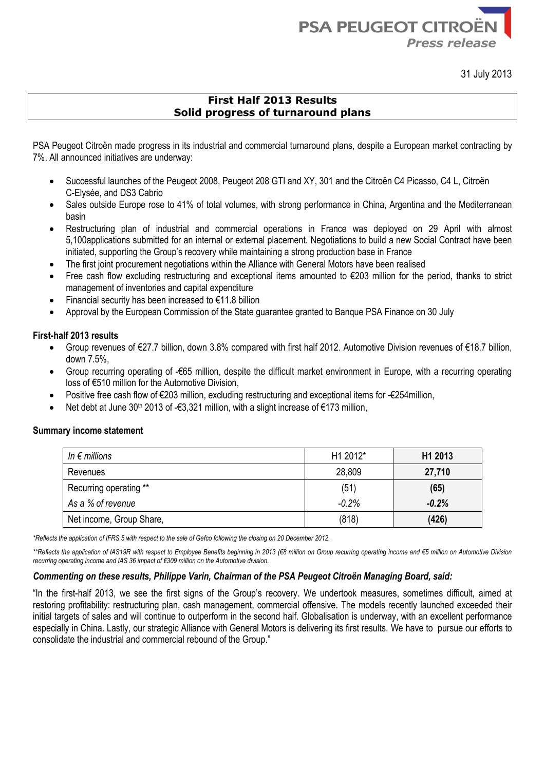

31 July 2013

## **First Half 2013 Results Solid progress of turnaround plans**

PSA Peugeot Citroën made progress in its industrial and commercial turnaround plans, despite a European market contracting by 7%. All announced initiatives are underway:

- Successful launches of the Peugeot 2008, Peugeot 208 GTI and XY, 301 and the Citroën C4 Picasso, C4 L, Citroën C-Elysée, and DS3 Cabrio
- Sales outside Europe rose to 41% of total volumes, with strong performance in China, Argentina and the Mediterranean basin
- Restructuring plan of industrial and commercial operations in France was deployed on 29 April with almost 5,100applications submitted for an internal or external placement. Negotiations to build a new Social Contract have been initiated, supporting the Group's recovery while maintaining a strong production base in France
- The first joint procurement negotiations within the Alliance with General Motors have been realised
- Free cash flow excluding restructuring and exceptional items amounted to €203 million for the period, thanks to strict management of inventories and capital expenditure
- Financial security has been increased to €11.8 billion
- Approval by the European Commission of the State guarantee granted to Banque PSA Finance on 30 July

#### **First-half 2013 results**

- Group revenues of €27.7 billion, down 3.8% compared with first half 2012. Automotive Division revenues of €18.7 billion, down 7.5%,
- Group recurring operating of -€65 million, despite the difficult market environment in Europe, with a recurring operating loss of €510 million for the Automotive Division,
- Positive free cash flow of €203 million, excluding restructuring and exceptional items for -€254million,
- Net debt at June 30<sup>th</sup> 2013 of -€3,321 million, with a slight increase of €173 million,

#### **Summary income statement**

| In $\epsilon$ millions   | H1 2012* | H1 2013 |
|--------------------------|----------|---------|
| Revenues                 | 28,809   | 27,710  |
| Recurring operating **   | (51)     | (65)    |
| As a % of revenue        | $-0.2\%$ | $-0.2%$ |
| Net income, Group Share, | (818)    | (426)   |

*\*Reflects the application of IFRS 5 with respect to the sale of Gefco following the closing on 20 December 2012.*

*\*\*Reflects the application of IAS19R with respect to Employee Benefits beginning in 2013 (€8 million on Group recurring operating income and €5 million on Automotive Division recurring operating income and IAS 36 impact of €309 million on the Automotive division.*

#### *Commenting on these results, Philippe Varin, Chairman of the PSA Peugeot Citroën Managing Board, said:*

"In the first-half 2013, we see the first signs of the Group's recovery. We undertook measures, sometimes difficult, aimed at restoring profitability: restructuring plan, cash management, commercial offensive. The models recently launched exceeded their initial targets of sales and will continue to outperform in the second half. Globalisation is underway, with an excellent performance especially in China. Lastly, our strategic Alliance with General Motors is delivering its first results. We have to pursue our efforts to consolidate the industrial and commercial rebound of the Group."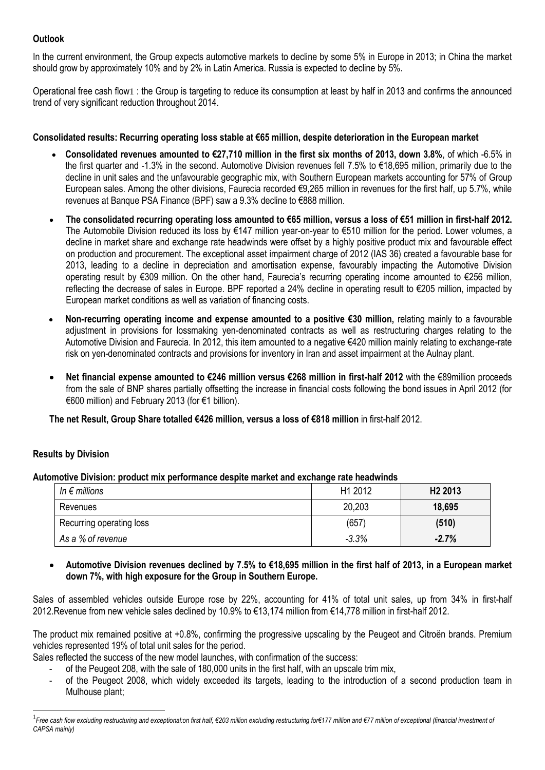### **Outlook**

In the current environment, the Group expects automotive markets to decline by some 5% in Europe in 2013; in China the market should grow by approximately 10% and by 2% in Latin America. Russia is expected to decline by 5%.

Operational free cash flow1 : the Group is targeting to reduce its consumption at least by half in 2013 and confirms the announced trend of very significant reduction throughout 2014.

#### **Consolidated results: Recurring operating loss stable at €65 million, despite deterioration in the European market**

- **Consolidated revenues amounted to €27,710 million in the first six months of 2013, down 3.8%**, of which -6.5% in the first quarter and -1.3% in the second. Automotive Division revenues fell 7.5% to €18,695 million, primarily due to the decline in unit sales and the unfavourable geographic mix, with Southern European markets accounting for 57% of Group European sales. Among the other divisions, Faurecia recorded €9,265 million in revenues for the first half, up 5.7%, while revenues at Banque PSA Finance (BPF) saw a 9.3% decline to €888 million.
- **The consolidated recurring operating loss amounted to €65 million, versus a loss of €51 million in first-half 2012.**  The Automobile Division reduced its loss by €147 million year-on-year to €510 million for the period. Lower volumes, a decline in market share and exchange rate headwinds were offset by a highly positive product mix and favourable effect on production and procurement. The exceptional asset impairment charge of 2012 (IAS 36) created a favourable base for 2013, leading to a decline in depreciation and amortisation expense, favourably impacting the Automotive Division operating result by €309 million. On the other hand, Faurecia's recurring operating income amounted to €256 million, reflecting the decrease of sales in Europe. BPF reported a 24% decline in operating result to €205 million, impacted by European market conditions as well as variation of financing costs.
- **Non-recurring operating income and expense amounted to a positive €30 million,** relating mainly to a favourable adjustment in provisions for lossmaking yen-denominated contracts as well as restructuring charges relating to the Automotive Division and Faurecia. In 2012, this item amounted to a negative €420 million mainly relating to exchange-rate risk on yen-denominated contracts and provisions for inventory in Iran and asset impairment at the Aulnay plant.
- **Net financial expense amounted to €246 million versus €268 million in first-half 2012** with the €89million proceeds from the sale of BNP shares partially offsetting the increase in financial costs following the bond issues in April 2012 (for €600 million) and February 2013 (for €1 billion).

**The net Result, Group Share totalled €426 million, versus a loss of €818 million** in first-half 2012.

#### **Results by Division**

-

**Automotive Division: product mix performance despite market and exchange rate headwinds**

| In $\epsilon$ millions   | H1 2012 | H <sub>2</sub> 2013 |
|--------------------------|---------|---------------------|
| Revenues                 | 20,203  | 18,695              |
| Recurring operating loss | (657)   | (510)               |
| As a % of revenue        | $-3.3%$ | $-2.7\%$            |

#### **Automotive Division revenues declined by 7.5% to €18,695 million in the first half of 2013, in a European market down 7%, with high exposure for the Group in Southern Europe.**

Sales of assembled vehicles outside Europe rose by 22%, accounting for 41% of total unit sales, up from 34% in first-half 2012.Revenue from new vehicle sales declined by 10.9% to €13,174 million from €14,778 million in first-half 2012.

The product mix remained positive at +0.8%, confirming the progressive upscaling by the Peugeot and Citroën brands. Premium vehicles represented 19% of total unit sales for the period.

Sales reflected the success of the new model launches, with confirmation of the success:

- of the Peugeot 208, with the sale of 180,000 units in the first half, with an upscale trim mix,
- of the Peugeot 2008, which widely exceeded its targets, leading to the introduction of a second production team in Mulhouse plant;

<sup>1&</sup>lt;br>Free cash flow excluding restructuring and exceptional:on first half, €203 million excluding restructuring for€177 million and €77 million of exceptional (financial investment of *CAPSA mainly)*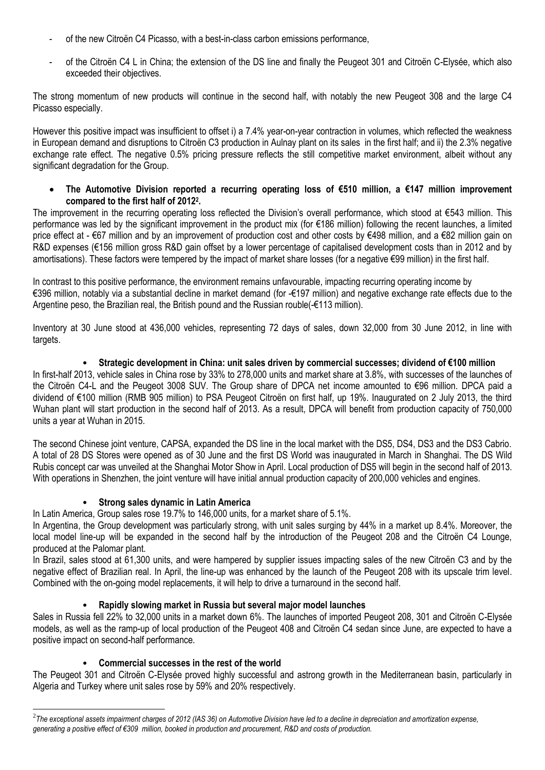- of the new Citroën C4 Picasso, with a best-in-class carbon emissions performance,
- of the Citroën C4 L in China; the extension of the DS line and finally the Peugeot 301 and Citroën C-Elysée, which also exceeded their objectives.

The strong momentum of new products will continue in the second half, with notably the new Peugeot 308 and the large C4 Picasso especially.

However this positive impact was insufficient to offset i) a 7.4% year-on-year contraction in volumes, which reflected the weakness in European demand and disruptions to Citroën C3 production in Aulnay plant on its sales in the first half; and ii) the 2.3% negative exchange rate effect. The negative 0.5% pricing pressure reflects the still competitive market environment, albeit without any significant degradation for the Group.

 **The Automotive Division reported a recurring operating loss of €510 million, a €147 million improvement compared to the first half of 2012<sup>2</sup> .** 

The improvement in the recurring operating loss reflected the Division's overall performance, which stood at €543 million. This performance was led by the significant improvement in the product mix (for €186 million) following the recent launches, a limited price effect at - €67 million and by an improvement of production cost and other costs by €498 million, and a €82 million gain on R&D expenses (€156 million gross R&D gain offset by a lower percentage of capitalised development costs than in 2012 and by amortisations). These factors were tempered by the impact of market share losses (for a negative €99 million) in the first half.

In contrast to this positive performance, the environment remains unfavourable, impacting recurring operating income by €396 million, notably via a substantial decline in market demand (for -€197 million) and negative exchange rate effects due to the Argentine peso, the Brazilian real, the British pound and the Russian rouble(-€113 million).

Inventory at 30 June stood at 436,000 vehicles, representing 72 days of sales, down 32,000 from 30 June 2012, in line with targets.

#### • **Strategic development in China: unit sales driven by commercial successes; dividend of €100 million**

In first-half 2013, vehicle sales in China rose by 33% to 278,000 units and market share at 3.8%, with successes of the launches of the Citroën C4-L and the Peugeot 3008 SUV. The Group share of DPCA net income amounted to €96 million. DPCA paid a dividend of €100 million (RMB 905 million) to PSA Peugeot Citroën on first half, up 19%. Inaugurated on 2 July 2013, the third Wuhan plant will start production in the second half of 2013. As a result, DPCA will benefit from production capacity of 750,000 units a year at Wuhan in 2015.

The second Chinese joint venture, CAPSA, expanded the DS line in the local market with the DS5, DS4, DS3 and the DS3 Cabrio. A total of 28 DS Stores were opened as of 30 June and the first DS World was inaugurated in March in Shanghai. The DS Wild Rubis concept car was unveiled at the Shanghai Motor Show in April. Local production of DS5 will begin in the second half of 2013. With operations in Shenzhen, the joint venture will have initial annual production capacity of 200,000 vehicles and engines.

#### • **Strong sales dynamic in Latin America**

In Latin America, Group sales rose 19.7% to 146,000 units, for a market share of 5.1%.

In Argentina, the Group development was particularly strong, with unit sales surging by 44% in a market up 8.4%. Moreover, the local model line-up will be expanded in the second half by the introduction of the Peugeot 208 and the Citroën C4 Lounge, produced at the Palomar plant.

In Brazil, sales stood at 61,300 units, and were hampered by supplier issues impacting sales of the new Citroën C3 and by the negative effect of Brazilian real. In April, the line-up was enhanced by the launch of the Peugeot 208 with its upscale trim level. Combined with the on-going model replacements, it will help to drive a turnaround in the second half.

#### • **Rapidly slowing market in Russia but several major model launches**

Sales in Russia fell 22% to 32,000 units in a market down 6%. The launches of imported Peugeot 208, 301 and Citroën C-Elysée models, as well as the ramp-up of local production of the Peugeot 408 and Citroën C4 sedan since June, are expected to have a positive impact on second-half performance.

#### • **Commercial successes in the rest of the world**

-

The Peugeot 301 and Citroën C-Elysée proved highly successful and astrong growth in the Mediterranean basin, particularly in Algeria and Turkey where unit sales rose by 59% and 20% respectively.

<sup>2</sup> *The exceptional assets impairment charges of 2012 (IAS 36) on Automotive Division have led to a decline in depreciation and amortization expense, generating a positive effect of €309 million, booked in production and procurement, R&D and costs of production.*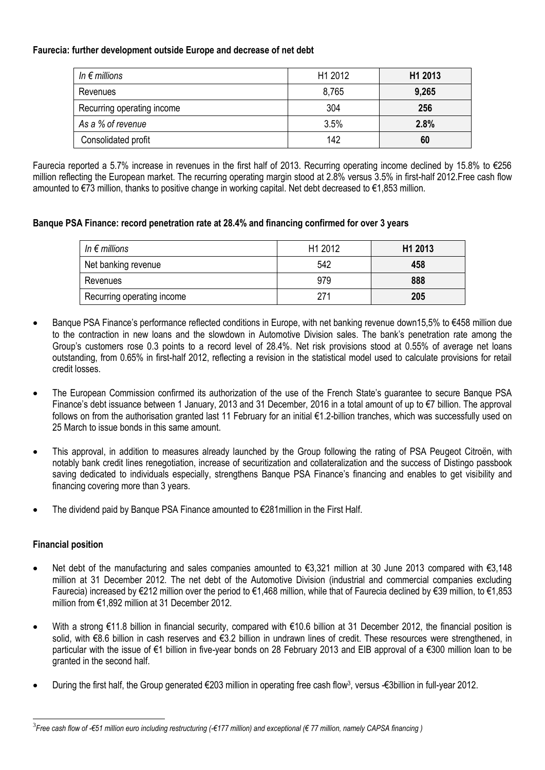#### **Faurecia: further development outside Europe and decrease of net debt**

| In $\epsilon$ millions     | H1 2012 | H1 2013 |
|----------------------------|---------|---------|
| Revenues                   | 8,765   | 9,265   |
| Recurring operating income | 304     | 256     |
| As a % of revenue          | 3.5%    | 2.8%    |
| Consolidated profit        | 142     | 60      |

Faurecia reported a 5.7% increase in revenues in the first half of 2013. Recurring operating income declined by 15.8% to €256 million reflecting the European market. The recurring operating margin stood at 2.8% versus 3.5% in first-half 2012.Free cash flow amounted to €73 million, thanks to positive change in working capital. Net debt decreased to €1,853 million.

### **Banque PSA Finance: record penetration rate at 28.4% and financing confirmed for over 3 years**

| In $\epsilon$ millions     | H1 2012 | H <sub>1</sub> 2013 |
|----------------------------|---------|---------------------|
| Net banking revenue        | 542     | 458                 |
| Revenues                   | 979     | 888                 |
| Recurring operating income | 271     | 205                 |

- Banque PSA Finance's performance reflected conditions in Europe, with net banking revenue down15,5% to €458 million due to the contraction in new loans and the slowdown in Automotive Division sales. The bank's penetration rate among the Group's customers rose 0.3 points to a record level of 28.4%. Net risk provisions stood at 0.55% of average net loans outstanding, from 0.65% in first-half 2012, reflecting a revision in the statistical model used to calculate provisions for retail credit losses.
- The European Commission confirmed its authorization of the use of the French State's guarantee to secure Banque PSA Finance's debt issuance between 1 January, 2013 and 31 December, 2016 in a total amount of up to €7 billion. The approval follows on from the authorisation granted last 11 February for an initial €1.2-billion tranches, which was successfully used on 25 March to issue bonds in this same amount.
- This approval, in addition to measures already launched by the Group following the rating of PSA Peugeot Citroën, with notably bank credit lines renegotiation, increase of securitization and collateralization and the success of Distingo passbook saving dedicated to individuals especially, strengthens Banque PSA Finance's financing and enables to get visibility and financing covering more than 3 years.
- The dividend paid by Banque PSA Finance amounted to €281million in the First Half.

### **Financial position**

1

- Net debt of the manufacturing and sales companies amounted to €3,321 million at 30 June 2013 compared with €3,148 million at 31 December 2012. The net debt of the Automotive Division (industrial and commercial companies excluding Faurecia) increased by €212 million over the period to €1,468 million, while that of Faurecia declined by €39 million, to €1,853 million from €1,892 million at 31 December 2012.
- With a strong €11.8 billion in financial security, compared with €10.6 billion at 31 December 2012, the financial position is solid, with €8.6 billion in cash reserves and €3.2 billion in undrawn lines of credit. These resources were strengthened, in particular with the issue of €1 billion in five-year bonds on 28 February 2013 and EIB approval of a €300 million loan to be granted in the second half.
- During the first half, the Group generated €203 million in operating free cash flow<sup>3</sup>, versus -€3billion in full-year 2012.

<sup>3</sup> *Free cash flow of -€51 million euro including restructuring (-€177 million) and exceptional (€ 77 million, namely CAPSA financing )*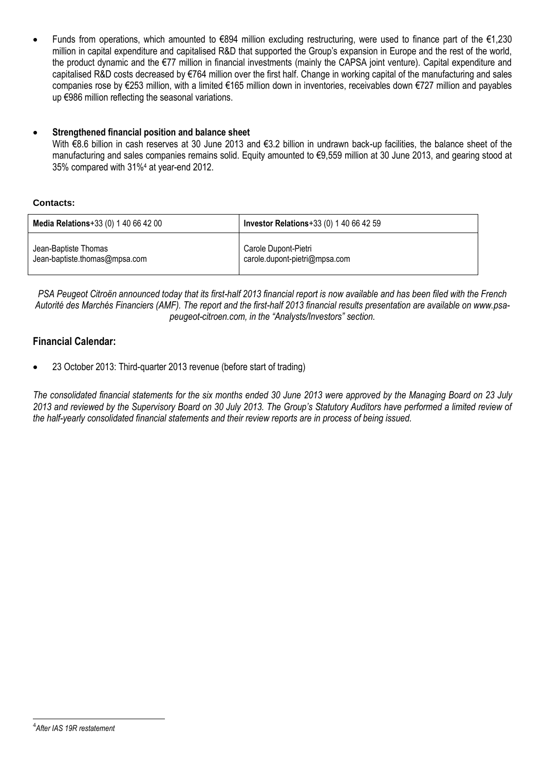Funds from operations, which amounted to €894 million excluding restructuring, were used to finance part of the €1,230 million in capital expenditure and capitalised R&D that supported the Group's expansion in Europe and the rest of the world, the product dynamic and the €77 million in financial investments (mainly the CAPSA joint venture). Capital expenditure and capitalised R&D costs decreased by €764 million over the first half. Change in working capital of the manufacturing and sales companies rose by €253 million, with a limited €165 million down in inventories, receivables down €727 million and payables up €986 million reflecting the seasonal variations.

#### **Strengthened financial position and balance sheet**

With €8.6 billion in cash reserves at 30 June 2013 and €3.2 billion in undrawn back-up facilities, the balance sheet of the manufacturing and sales companies remains solid. Equity amounted to €9,559 million at 30 June 2013, and gearing stood at 35% compared with 31%<sup>4</sup> at year-end 2012.

#### **Contacts:**

| Media Relations+33 (0) 1 40 66 42 00 | <b>Investor Relations</b> +33 (0) 1 40 66 42 59 |
|--------------------------------------|-------------------------------------------------|
| Jean-Baptiste Thomas                 | Carole Dupont-Pietri                            |
| Jean-baptiste.thomas@mpsa.com        | carole.dupont-pietri@mpsa.com                   |

*PSA Peugeot Citroën announced today that its first-half 2013 financial report is now available and has been filed with the French*  Autorité des Marchés Financiers (AMF). The report and the first-half 2013 financial results presentation are available on www.psa*peugeot-citroen.com, in the "Analysts/Investors" section.*

### **Financial Calendar:**

23 October 2013: Third-quarter 2013 revenue (before start of trading)

*The consolidated financial statements for the six months ended 30 June 2013 were approved by the Managing Board on 23 July 2013 and reviewed by the Supervisory Board on 30 July 2013. The Group's Statutory Auditors have performed a limited review of the half-yearly consolidated financial statements and their review reports are in process of being issued.*

1